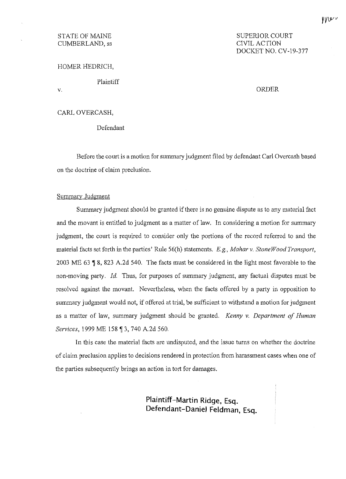# CUMBERLAND, ss

# STATE OF MAINE SUPERIOR COURT SUPERIOR COURT CUMBERLAND, ss DOCKET NO. CV-19-377

HOMER HEDRICH,

Plaintiff

V.

ORDER

# CARL OVERCASH,

Defendant

Before the court is a motion for summary judgment filed by defendant Carl Overcash based on the doctrine of claim preclusion.

#### Summary Judgment

Summary judgment should be granted if there is no genuine dispute as to any material fact and the movant is entitled to judgment as a matter of law. In considering a motion for summary judgment, the court is required to consider only the portions of the record referred to and the material facts set forth in the parties' Rule 56(h) statements. *E.g., Mahar v. Stone Wood Transport,*  2003 ME 63 **1**8, 823 A.2d 540. The facts must be considered in the light most favorable to the non-moving party. *Id.* Thus, for purposes of summary judgment, any factual disputes must be resolved against the movant. Nevertheless, when the facts offered by a party in opposition to summary judgment would not, if offered at trial, be sufficient to withstand a motion for judgment as a matter of law, summary judgment should be granted. *Kenny v. Department of Human Services*, 1999 ME 158 ¶ 3, 740 A.2d 560.

In this case the material facts are undisputed, and the issue turns on whether the doctrine of claim preclusion applies to decisions rendered in protection from harassment cases when one of the parties subsequently brings an action in tort for damages.

> **Plaintiff-Martin Ridge, Esq. Defendant-Daniel Feldman, Esq.**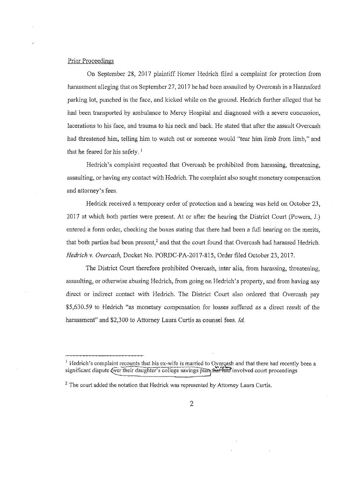## Prior Proceedings

On September 28, 2017 plaintiff Homer Hedrich filed a complaint for protection from harassment alleging that on September 27, 2017 he had been assaulted by Overcash in a Hannaford parking lot, punched in the face, and kicked while on the ground. Hedrich further alleged that he had been transported by ambulance to Mercy Hospital and diagnosed with a severe concussion, lacerations to his face, and trauma to his neck and back. He stated that after the assault Overcash had threatened him, telling him to watch out or someone would "tear him limb from limb," and that he feared for his safety.<sup>1</sup>

Hedrich's complaint requested that Overcash be prohibited from harassing, threatening, assaulting, or having any contact with Hedrich. The complaint also sought monetary compensation and attorney's fees.

Hedrick received a temporary order of protection and a hearing was held on October 23, 2017 at which both parties were present. At or after the hearing the District Court (Powers, J.) entered a form order, checking the boxes stating that there had been a full hearing on the merits, that both parties had been present,<sup>2</sup> and that the court found that Overcash had harassed Hedrich. *Hedrich v. Overcash,* Docket No. PORDC-PA-2017-815, Order filed October 23, 2017.

The District Court therefore prohibited Overcash, inter alia, from harassing, threatening, assaulting, or otherwise abusing Hedrich, from going on Hedrich' s property, and from having any direct or indirect contact with Hedrich. The District Court also ordered that Overcash pay \$5,630.59 to Hedrich "as monetary compensation for losses suffered as a direct result of the harassment" and \$2,300 to Attorney Laura Curtis as counsel fees. *Id.* 

 $<sup>1</sup>$  Hedrich's complaint recounts that his ex-wife is married to Overçash and that there had recently been a</sup> significant dispute *Q*ver their daughter's college savings plan that had involved court proceedings

 $<sup>2</sup>$  The court added the notation that Hedrick was represented by Attorney Laura Curtis.</sup>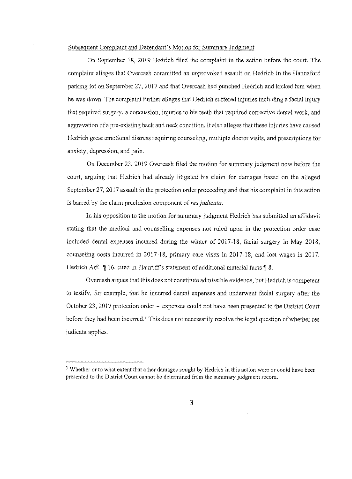# Subsequent Complaint and Defendant's Motion for Summary Judgment

On September 18, 2019 Hedrich filed the complaint in the action before the court. The complaint alleges that Overcash committed an unprovoked assault on Hedrich in the Harmaford parking lot on September 27, 2017 and that Overcash had punched Hedrich and kicked him when he was down. The complaint further alleges that Hedrich suffered injuries including a facial injury that required surgery, a concussion, injuries to his teeth that required corrective dental work, and aggravation of a pre-existing back and neck condition. It also alleges that these injuries have caused Hedrich great emotional distress requiring counseling, multiple doctor visits, and prescriptions for anxiety, depression, and pain.

On December 23, 2019 Overcash filed the motion for summary judgment now before the court, arguing that Hedrich had already litigated his claim for damages based on the alleged September 27, 2017 assault in the protection order proceeding and that his complaint in this action is barred by the claim preclusion component of *res judicata.* 

In his opposition to the motion for summary judgment Hedrich has submitted an affidavit stating that the medical and counselling expenses not ruled upon in the protection order case included dental expenses incurred during the winter of 2017-18, facial surgery in May 2018, counseling costs incurred in 2017-18, primary care visits in 2017-18, and lost wages in 2017. Hedrich Aff.  $\parallel$  16, cited in Plaintiff's statement of additional material facts  $\parallel$  8.

Overcash argues that this does not constitute admissible evidence, but Hedrich is competent to testify, for example, that he incurred dental expenses and underwent facial surgery after the October 23, 2017 protection order - expenses could not have been presented to the District Court before they had been incurred.<sup>3</sup> This does not necessarily resolve the legal question of whether res judicata applies.

<sup>&</sup>lt;sup>3</sup> Whether or to what extent that other damages sought by Hedrich in this action were or could have been presented to the District Court cannot be determined from the summary judgment record.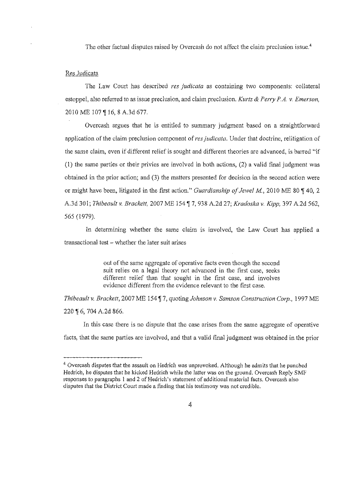The other factual disputes raised by Overcash do not affect the claim preclusion issue.<sup>4</sup>

## Res Judicata

The Law Court has described *res judicata* as containing two components: collateral estoppel, also referred to as issue preclusion, and claim preclusion. *Kurtz & Perry P.A. v. Emerson,*  2010 ME 107 | 16, 8 A.3d 677.

Overcash argues that he is entitled to summary judgment based on a straightforward application of the claim preclusion component of res judicata. Under that doctrine, relitigation of the same claim, even if different relief is sought and different theories are advanced, is barred "if (1) the same parties or their privies are involved in both actions, (2) a valid final judgment was obtained in the prior action; and (3) the matters presented for decision in the second action were or might have been, litigated in the first action." *Guardianship of Jewel M.*, 2010 ME 80 **140**, 2 A.3d 301; *Thibeault v. Brackett, 2007 ME 154*  $\sqrt{7}$ , 938 A.2d 27; *Kradoska v. Kipp, 397 A.2d 562*, 565 (1979).

In determining whether the same claim 1s involved, the Law Court has applied a transactional test - whether the later suit arises

> out of the same aggregate of operative facts even though the second suit relies on a legal theory not advanced in the first case, seeks different relief than that sought in the first case, and involves evidence different from the evidence relevant to the first case.

*Thibeault v. Brackett,* 2007 ME 154 **[7,** quoting *Johnson v. Samson Construction Corp.,* 1997 ME 220 **16**, 704 A.2d 866.

In this case there is no dispute that the case arises from the same aggregate of operative facts, that the same parties are involved, and that a valid final judgment was obtained in the prior

<sup>&</sup>lt;sup>4</sup> Overcash disputes that the assault on Hedrich was unprovoked. Although he admits that he punched Hedrich, he disputes that he kicked Hedrich while the latter was on the ground. Overcash Reply SMF responses to paragraphs 1 and 2 of Hedrich's statement of additional material facts. Overcash also disputes that the District Court made a finding that his testimony was not credible.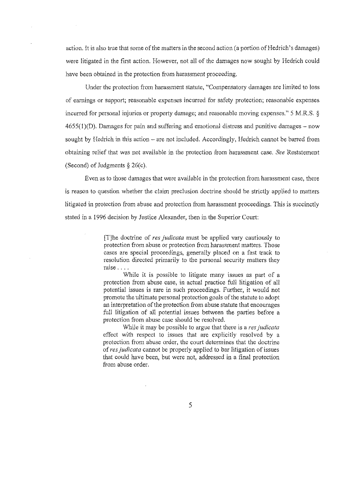action. It is also true that some of the matters in the second action (a portion of Hedrich's damages) were litigated in the first action. However, not all of the damages now sought by Hedrich could have been obtained in the protection from harassment proceeding.

Under the protection from harassment statute, "Compensatory damages are limited to loss of earnings or support; reasonable expenses incurred for safety protection; reasonable expenses incurred for personal injuries or property damage; and reasonable moving expenses." 5 M.R.S. §  $4655(1)(D)$ . Damages for pain and suffering and emotional distress and punitive damages – now sought by Hedrich in this action  $-$  are not included. Accordingly, Hedrich cannot be barred from obtaining relief that was not available in the protection from harassment case. *See* Restatement (Second) of Judgments  $\S 26(c)$ .

Even as to those damages that were available in the protection from harassment case, there is reason to question whether the claim preclusion doctrine should be strictly applied to matters litigated in protection from abuse and protection from harassment proceedings. This is succinctly stated in a 1996 decision by Justice Alexander, then in the Superior Court:

> [T]he doctrine of *res judicata* must be applied vary cautiously to protection from abuse or protection from harassment matters. Those cases are special proceedings, generally placed on a fast track to resolution directed primarily to the personal security matters they raise ....

> While it is possible to litigate many issues as part of a protection from abuse case, in actual practice full litigation of all potential issues is rare in such proceedings. Further, it would not promote the ultimate personal protection goals of the statute to adopt an interpretation of the protection from abuse statute that encourages full litigation of all potential issues between the parties before a protection from abuse case should be resolved.

> While it may be possible to argue that there is a *res judicata* effect with respect to issues that are explicitly resolved by a protection from abuse order, the court determines that the doctrine of *res judicata* cannot be properly applied to bar litigation of issues that could have been, hut were not, addressed in a final protection from abuse order.

> > 5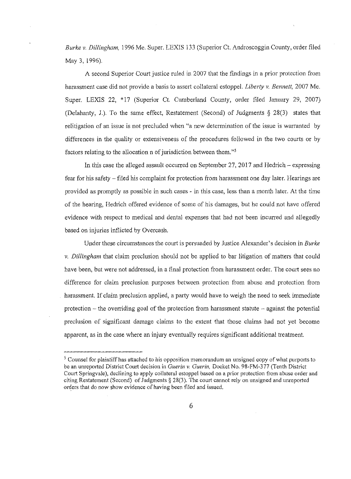*Burke* v. *Dillingham,* 1996 Me. Super. LEXIS !33 (Superior Ct. Androscoggin County, order filed May 3, 1996).

A second Superior Court justice ruled in 2007 that the findings in a prior protection from harassment case did not provide a basis to assert collateral estoppel. *Liberty* v. *Bennett,* 2007 Me. Super. LEXIS 22, \*17 (Superior Ct. Cumberland County, order filed January 29, 2007) (Delahanty, J.). To the same effect, Restatement (Second) of Judgments § 28(3) states that relitigation of an issue is not precluded when "a new determination of the issue is warranted by differences in the quality or extensiveness of the procedures followed in the two courts or by factors relating to the allocation n of jurisdiction between them."<sup>5</sup>

In this case the alleged assault occurred on September 27, 2017 and Hedrich - expressing fear for his safety - filed his complaint for protection from harassment one day later. Hearings are provided as promptly as possible in such cases - in this case, less than a month later. At the time of the hearing, Hedrich offered evidence of some of his damages, but he could not have offered evidence with respect to medical and dental expenses that had not been incurred and allegedly based on injuries inflicted by Overcash.

Under these circumstances the court is persuaded by Justice Alexander's decision in *Burke*  v. *Dillingham* that claim preclusion should not be applied to bar litigation of matters that could have been, but were not addressed, in a final protection from harassment order. The court sees no difference for claim preclusion purposes between protection from abuse and protection from harassment. If claim preclusion applied, a party would have to weigh the need to seek immediate protection  $-$  the overriding goal of the protection from harassment statute  $-$  against the potential preclusion of significant damage claims to the extent that those claims had not yet become apparent, as in the case where an injury eventually requires significant additional treatment.

 $<sup>5</sup>$  Counsel for plaintiff has attached to his opposition memorandum an unsigned copy of what purports to</sup> be an unrepo1ted District Comt decision in *Guerin* v. *Guerin,* Docket No. 98-FM-377 (Tenth District Court Springvale), declining to apply collateral estoppel based on a prior protection from abuse order and citing Restatement (Second) of Judgments  $\S 28(3)$ . The court cannot rely on unsigned and unreported orders that do now show evidence of having been filed and issued.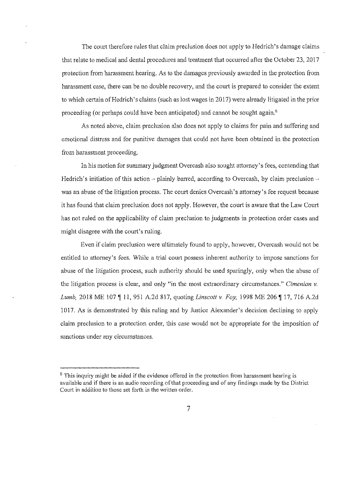The court therefore rules that claim preclusion does not apply to Hedrich's damage claims that relate to medical and dental procedures and treatment that occurred after the October 23, 2017 protection from harassment hearing. As to the damages previously awarded in the protection from harassment case, there can be no double recovery, and the court is prepared to consider the extent to which certain of Hedrich's claims (such as lost wages in 2017) were already litigated in the prior proceeding (or perhaps could have been anticipated) and cannot be sought again.<sup>6</sup>

As noted above, claim preclusion also does not apply to claims for pain and suffering and emotional distress and for punitive damages that could not have been obtained in the protection from harassment proceeding.

In his motion for summary judgment Overcash also sought attorney's fees, contending that Hedrich's initiation of this action  $-$  plainly barred, according to Overcash, by claim preclusion  $$ was an abuse of the litigation process. The comt denies Overcash's attorney's fee request because it has found that claim preclusion does not apply. However, the court is aware that the Law Court has not ruled on the applicability of claim preclusion to judgments in protection order cases and might disagree with the court's ruling.

Even if claim preclusion were ultimately found to apply, however, Overcash would not be entitled to attorney's fees. While a trial court possess inherent authority to impose sanctions for abuse of the litigation process, such authority should be used sparingly, only when the abuse of the litigation process is clear, and only "in the most extraordinary circumstances." *Cimenian* v. *Lumb,* 2018 ME 107  $\parallel$  11, 951 A.2d 817, quoting *Linscott v. Foy,* 1998 ME 206  $\parallel$  17, 716 A.2d 1017. As is demonstrated by this ruling and by Justice Alexander's decision declining to apply claim preclusion to a protection order, this case would not be appropriate for the imposition of sanctions under any circumstances.

 $6$  This inquiry might be aided if the evidence offered in the protection from harassment hearing is available and if there is an audio recording ofthat proceeding and of any findings made by the District Court in addition to those set forth in the written order.